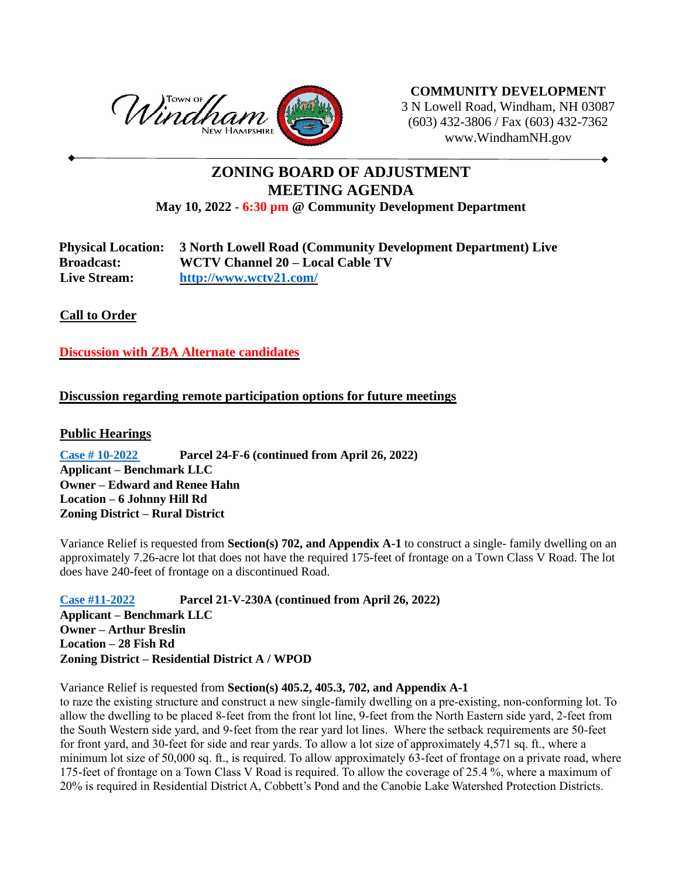

**COMMUNITY DEVELOPMENT** 3 N Lowell Road, Windham, NH 03087 (603) 432-3806 / Fax (603) 432-7362 www.WindhamNH.gov

## **ZONING BOARD OF ADJUSTMENT MEETING AGENDA May 10, 2022** - **6:30 pm @ Community Development Department**

| <b>Physical Location:</b> | 3 North Lowell Road (Community Development Department) Live |
|---------------------------|-------------------------------------------------------------|
| <b>Broadcast:</b>         | WCTV Channel 20 – Local Cable TV                            |
| <b>Live Stream:</b>       | http://www.wctv21.com/                                      |

**Call to Order** 

**Discussion with ZBA Alternate candidates**

## **Discussion regarding remote participation options for future meetings**

## **Public Hearings**

**[Case # 10-2022](https://www.windhamnh.gov/DocumentCenter/Index/947) Parcel 24-F-6 (continued from April 26, 2022) Applicant – Benchmark LLC Owner – Edward and Renee Hahn Location – 6 Johnny Hill Rd Zoning District – Rural District**

Variance Relief is requested from **Section(s) 702, and Appendix A-1** to construct a single- family dwelling on an approximately 7.26-acre lot that does not have the required 175-feet of frontage on a Town Class V Road. The lot does have 240-feet of frontage on a discontinued Road.

**[Case #11-2022](https://www.windhamnh.gov/DocumentCenter/Index/948) Parcel 21-V-230A (continued from April 26, 2022) Applicant – Benchmark LLC Owner – Arthur Breslin Location – 28 Fish Rd Zoning District – Residential District A / WPOD**

Variance Relief is requested from **Section(s) 405.2, 405.3, 702, and Appendix A-1**

to raze the existing structure and construct a new single-family dwelling on a pre-existing, non-conforming lot. To allow the dwelling to be placed 8-feet from the front lot line, 9-feet from the North Eastern side yard, 2-feet from the South Western side yard, and 9-feet from the rear yard lot lines. Where the setback requirements are 50-feet for front yard, and 30-feet for side and rear yards. To allow a lot size of approximately 4,571 sq. ft., where a minimum lot size of 50,000 sq. ft., is required. To allow approximately 63-feet of frontage on a private road, where 175-feet of frontage on a Town Class V Road is required. To allow the coverage of 25.4 %, where a maximum of 20% is required in Residential District A, Cobbett's Pond and the Canobie Lake Watershed Protection Districts.